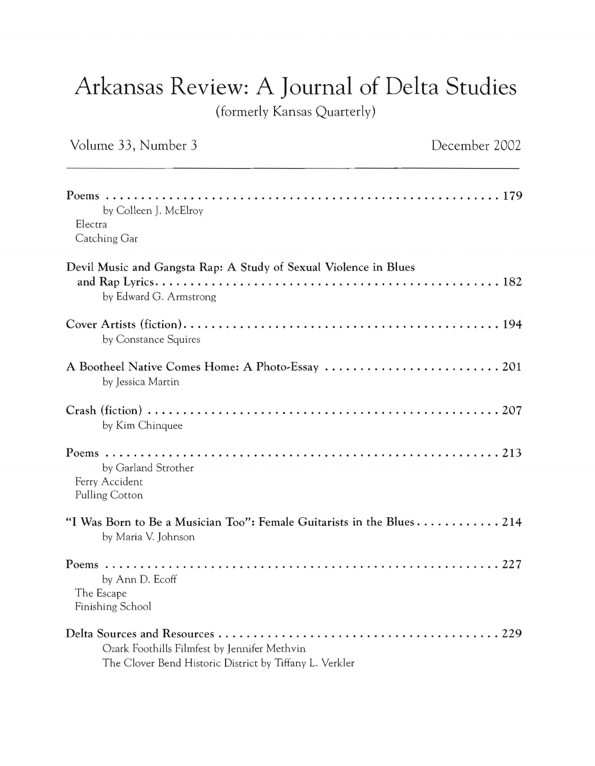## Arkansas Review: A **Journal** of Delta Studies

(formerly Kansas Quarterly)

| Volume 33, Number 3                                                                                     | December 2002 |
|---------------------------------------------------------------------------------------------------------|---------------|
| by Colleen J. McElroy<br>Electra<br>Catching Gar                                                        |               |
| Devil Music and Gangsta Rap: A Study of Sexual Violence in Blues<br>by Edward G. Armstrong              |               |
| by Constance Squires                                                                                    |               |
| by Jessica Martin                                                                                       |               |
| by Kim Chinquee                                                                                         |               |
| by Garland Strother<br>Ferry Accident<br>Pulling Cotton                                                 |               |
| "I Was Born to Be a Musician Too": Female Guitarists in the Blues 214<br>by Maria V. Johnson            |               |
| by Ann D. Ecoff<br>The Escape<br>Finishing School                                                       |               |
| Ozark Foothills Filmfest by Jennifer Methvin<br>The Clover Bend Historic District by Tiffany L. Verkler |               |